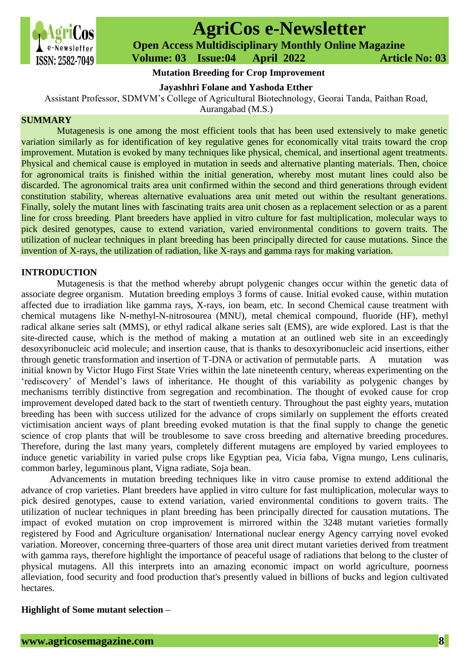

# **AgriCos e-Newsletter**

 **Open Access Multidisciplinary Monthly Online Magazine**

 **Volume: 03 Issue:04 April 2022 Article No: 03**

# **Mutation Breeding for Crop Improvement**

**Jayashhri Folane and Yashoda Etther**

Assistant Professor, SDMVM's College of Agricultural Biotechnology, Georai Tanda, Paithan Road,

Aurangabad (M.S.)

#### **SUMMARY**

Mutagenesis is one among the most efficient tools that has been used extensively to make genetic variation similarly as for identification of key regulative genes for economically vital traits toward the crop improvement. Mutation is evoked by many techniques like physical, chemical, and insertional agent treatments. Physical and chemical cause is employed in mutation in seeds and alternative planting materials. Then, choice for agronomical traits is finished within the initial generation, whereby most mutant lines could also be discarded. The agronomical traits area unit confirmed within the second and third generations through evident constitution stability, whereas alternative evaluations area unit meted out within the resultant generations. Finally, solely the mutant lines with fascinating traits area unit chosen as a replacement selection or as a parent line for cross breeding. Plant breeders have applied in vitro culture for fast multiplication, molecular ways to pick desired genotypes, cause to extend variation, varied environmental conditions to govern traits. The utilization of nuclear techniques in plant breeding has been principally directed for cause mutations. Since the invention of X-rays, the utilization of radiation, like X-rays and gamma rays for making variation.

## **INTRODUCTION**

Mutagenesis is that the method whereby abrupt polygenic changes occur within the genetic data of associate degree organism. Mutation breeding employs 3 forms of cause. Initial evoked cause, within mutation affected due to irradiation like gamma rays, X-rays, ion beam, etc. In second Chemical cause treatment with chemical mutagens like N-methyl-N-nitrosourea (MNU), metal chemical compound, fluoride (HF), methyl radical alkane series salt (MMS), or ethyl radical alkane series salt (EMS), are wide explored. Last is that the site-directed cause, which is the method of making a mutation at an outlined web site in an exceedingly desoxyribonucleic acid molecule; and insertion cause, that is thanks to desoxyribonucleic acid insertions, either through genetic transformation and insertion of T-DNA or activation of permutable parts. A mutation was initial known by Victor Hugo First State Vries within the late nineteenth century, whereas experimenting on the 'rediscovery' of Mendel's laws of inheritance. He thought of this variability as polygenic changes by mechanisms terribly distinctive from segregation and recombination. The thought of evoked cause for crop improvement developed dated back to the start of twentieth century. Throughout the past eighty years, mutation breeding has been with success utilized for the advance of crops similarly on supplement the efforts created victimisation ancient ways of plant breeding evoked mutation is that the final supply to change the genetic science of crop plants that will be troublesome to save cross breeding and alternative breeding procedures. Therefore, during the last many years, completely different mutagens are employed by varied employees to induce genetic variability in varied pulse crops like Egyptian pea, Vicia faba, Vigna mungo, Lens culinaris, common barley, leguminous plant, Vigna radiate, Soja bean.

Advancements in mutation breeding techniques like in vitro cause promise to extend additional the advance of crop varieties. Plant breeders have applied in vitro culture for fast multiplication, molecular ways to pick desired genotypes, cause to extend variation, varied environmental conditions to govern traits. The utilization of nuclear techniques in plant breeding has been principally directed for causation mutations. The impact of evoked mutation on crop improvement is mirrored within the 3248 mutant varieties formally registered by Food and Agriculture organisation/ International nuclear energy Agency carrying novel evoked variation. Moreover, concerning three-quarters of those area unit direct mutant varieties derived from treatment with gamma rays, therefore highlight the importance of peaceful usage of radiations that belong to the cluster of physical mutagens. All this interprets into an amazing economic impact on world agriculture, poorness alleviation, food security and food production that's presently valued in billions of bucks and legion cultivated hectares.

### **Highlight of Some mutant selection –**